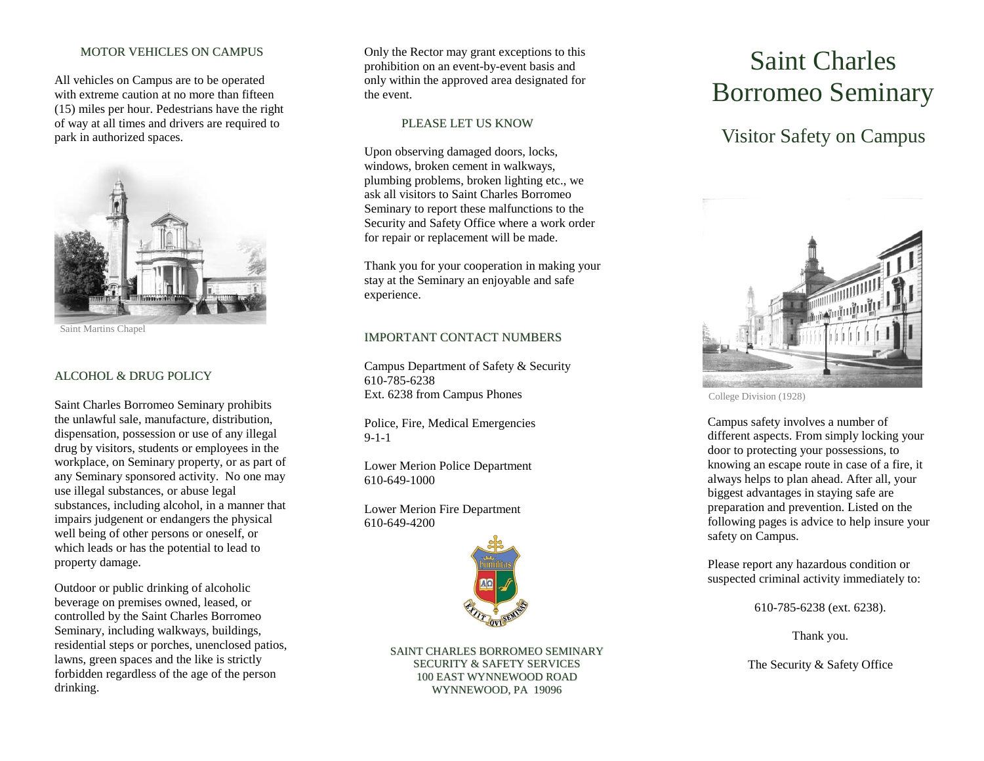## MOTOR VEHICLES ON CAMPUS

All vehicles on Campus are to be operated with extreme caution at no more than fifteen (15) miles per hour. Pedestrians have the right of way at all times and drivers are required to park in authorized spaces.



Saint Martins Chapel

### ALCOHOL & DRUG POLICY

Saint Charles Borromeo Seminary prohibits the unlawful sale, manufacture, distribution, dispensation, possession or use of any illegal drug by visitors, students or employees in the workplace, on Seminary property, or as part of any Seminary sponsored activity. No one may use illegal substances, or abuse legal substances, including alcohol, in a manner that impairs judgenent or endangers the physical well being of other persons or oneself, or which leads or has the potential to lead to property damage.

Outdoor or public drinking of alcoholic beverage on premises owned, leased, or controlled by the Saint Charles Borromeo Seminary, including walkways, buildings, residential steps or porches, unenclosed patios, lawns, green spaces and the like is strictly forbidden regardless of the age of the person drinking.

Only the Rector may grant exceptions to this prohibition on an event -by -event basis and only within the approved area designated for the event.

#### PLEASE LET US KNOW

Upon observing damaged doors, locks, windows, broken cement in walkways, plumbing problems, broken lighting etc., we ask all visitors to Saint Charles Borromeo Seminary to report these malfunctions to the Security and Safety Office where a work order for repair or replacement will be made.

Thank you for your cooperation in making your stay at the Seminary an enjoyable and safe experience.

### IMPORTANT CONTACT NUMBERS

Campus Department of Safety & Security 610 -785 -6238 Ext. 6238 from Campus Phones

Police, Fire, Medical Emergencies 9-1-1

Lower Merion Police Department 610 -649 -1000

Lower Merion Fire Department 610 -649 -4200



SAINT CHARLES BORROMEO SEMINARY SECURITY & SAFETY SERVICES 100 EAST WYNNEWOOD ROAD W Y N N E W O O D , P A 1 9 0 9 6

# Saint Charles Borromeo Seminary

# Visitor Safety on Campus



College Division (1928)

Campus safety involves a number of different aspects. From simply locking your door to protecting your possessions, to knowing an escape route in case of a fire, it always helps to plan ahead. After all, your biggest advantages in staying safe are preparation and prevention. Listed on the following pages is advice to help insure your safety on Campus.

Please report any hazardous condition or suspected criminal activity immediately to:

610 -785 -6238 (ext. 6238).

Thank you.

The Security & Safety Office